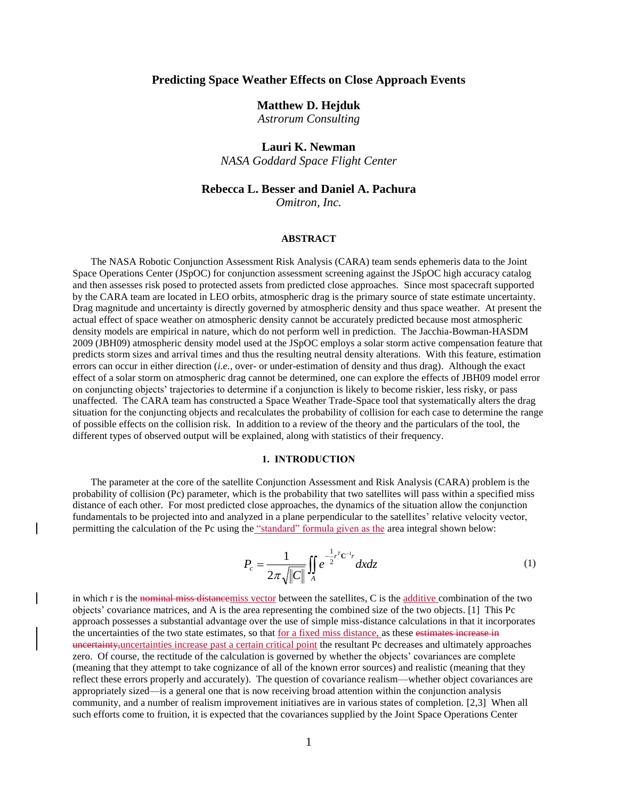## **Predicting Space Weather Effects on Close Approach Events**

## **Matthew D. Hejduk**

*Astrorum Consulting*

# **Lauri K. Newman**

*NASA Goddard Space Flight Center*

# **Rebecca L. Besser and Daniel A. Pachura**

*Omitron, Inc.*

### **ABSTRACT**

The NASA Robotic Conjunction Assessment Risk Analysis (CARA) team sends ephemeris data to the Joint Space Operations Center (JSpOC) for conjunction assessment screening against the JSpOC high accuracy catalog and then assesses risk posed to protected assets from predicted close approaches. Since most spacecraft supported by the CARA team are located in LEO orbits, atmospheric drag is the primary source of state estimate uncertainty. Drag magnitude and uncertainty is directly governed by atmospheric density and thus space weather. At present the actual effect of space weather on atmospheric density cannot be accurately predicted because most atmospheric density models are empirical in nature, which do not perform well in prediction. The Jacchia-Bowman-HASDM 2009 (JBH09) atmospheric density model used at the JSpOC employs a solar storm active compensation feature that predicts storm sizes and arrival times and thus the resulting neutral density alterations. With this feature, estimation errors can occur in either direction (*i.e.,* over- or under-estimation of density and thus drag). Although the exact effect of a solar storm on atmospheric drag cannot be determined, one can explore the effects of JBH09 model error on conjuncting objects' trajectories to determine if a conjunction is likely to become riskier, less risky, or pass unaffected. The CARA team has constructed a Space Weather Trade-Space tool that systematically alters the drag situation for the conjuncting objects and recalculates the probability of collision for each case to determine the range of possible effects on the collision risk. In addition to a review of the theory and the particulars of the tool, the different types of observed output will be explained, along with statistics of their frequency.

#### **1. INTRODUCTION**

The parameter at the core of the satellite Conjunction Assessment and Risk Analysis (CARA) problem is the probability of collision (Pc) parameter, which is the probability that two satellites will pass within a specified miss distance of each other. For most predicted close approaches, the dynamics of the situation allow the conjunction fundamentals to be projected into and analyzed in a plane perpendicular to the satellites' relative velocity vector, permitting the calculation of the Pc using the "standard" formula given as the area integral shown below:

$$
P_c = \frac{1}{2\pi \sqrt{||C||}} \iint_A e^{-\frac{1}{2}r^T C^{-1}r} dx dz
$$
 (1)

in which r is the nominal miss distancemiss vector between the satellites, C is the additive combination of the two objects' covariance matrices, and A is the area representing the combined size of the two objects. [1] This Pc approach possesses a substantial advantage over the use of simple miss-distance calculations in that it incorporates the uncertainties of the two state estimates, so that for a fixed miss distance, as these estimates increase in uncertainty,uncertainties increase past a certain critical point the resultant Pc decreases and ultimately approaches zero. Of course, the rectitude of the calculation is governed by whether the objects' covariances are complete (meaning that they attempt to take cognizance of all of the known error sources) and realistic (meaning that they reflect these errors properly and accurately). The question of covariance realism—whether object covariances are appropriately sized—is a general one that is now receiving broad attention within the conjunction analysis community, and a number of realism improvement initiatives are in various states of completion. [2,3] When all such efforts come to fruition, it is expected that the covariances supplied by the Joint Space Operations Center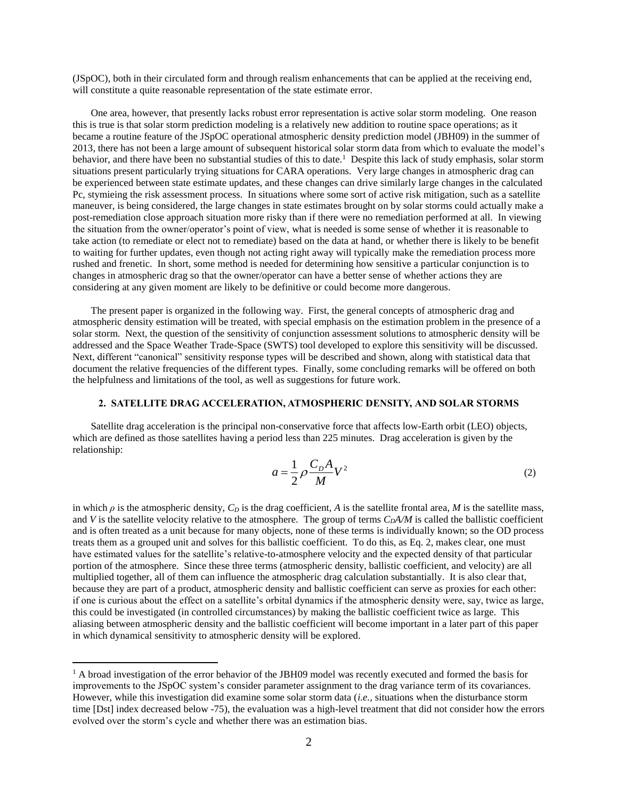(JSpOC), both in their circulated form and through realism enhancements that can be applied at the receiving end, will constitute a quite reasonable representation of the state estimate error.

One area, however, that presently lacks robust error representation is active solar storm modeling. One reason this is true is that solar storm prediction modeling is a relatively new addition to routine space operations; as it became a routine feature of the JSpOC operational atmospheric density prediction model (JBH09) in the summer of 2013, there has not been a large amount of subsequent historical solar storm data from which to evaluate the model's behavior, and there have been no substantial studies of this to date.<sup>1</sup> Despite this lack of study emphasis, solar storm situations present particularly trying situations for CARA operations. Very large changes in atmospheric drag can be experienced between state estimate updates, and these changes can drive similarly large changes in the calculated Pc, stymieing the risk assessment process. In situations where some sort of active risk mitigation, such as a satellite maneuver, is being considered, the large changes in state estimates brought on by solar storms could actually make a post-remediation close approach situation more risky than if there were no remediation performed at all. In viewing the situation from the owner/operator's point of view, what is needed is some sense of whether it is reasonable to take action (to remediate or elect not to remediate) based on the data at hand, or whether there is likely to be benefit to waiting for further updates, even though not acting right away will typically make the remediation process more rushed and frenetic. In short, some method is needed for determining how sensitive a particular conjunction is to changes in atmospheric drag so that the owner/operator can have a better sense of whether actions they are considering at any given moment are likely to be definitive or could become more dangerous.

The present paper is organized in the following way. First, the general concepts of atmospheric drag and atmospheric density estimation will be treated, with special emphasis on the estimation problem in the presence of a solar storm. Next, the question of the sensitivity of conjunction assessment solutions to atmospheric density will be addressed and the Space Weather Trade-Space (SWTS) tool developed to explore this sensitivity will be discussed. Next, different "canonical" sensitivity response types will be described and shown, along with statistical data that document the relative frequencies of the different types. Finally, some concluding remarks will be offered on both the helpfulness and limitations of the tool, as well as suggestions for future work.

#### **2. SATELLITE DRAG ACCELERATION, ATMOSPHERIC DENSITY, AND SOLAR STORMS**

Satellite drag acceleration is the principal non-conservative force that affects low-Earth orbit (LEO) objects, which are defined as those satellites having a period less than 225 minutes. Drag acceleration is given by the relationship:

$$
a = \frac{1}{2} \rho \frac{C_D A}{M} V^2
$$
 (2)

in which  $\rho$  is the atmospheric density,  $C_D$  is the drag coefficient, *A* is the satellite frontal area, *M* is the satellite mass, and *V* is the satellite velocity relative to the atmosphere. The group of terms  $C<sub>D</sub>A/M$  is called the ballistic coefficient and is often treated as a unit because for many objects, none of these terms is individually known; so the OD process treats them as a grouped unit and solves for this ballistic coefficient. To do this, as Eq. 2, makes clear, one must have estimated values for the satellite's relative-to-atmosphere velocity and the expected density of that particular portion of the atmosphere. Since these three terms (atmospheric density, ballistic coefficient, and velocity) are all multiplied together, all of them can influence the atmospheric drag calculation substantially. It is also clear that, because they are part of a product, atmospheric density and ballistic coefficient can serve as proxies for each other: if one is curious about the effect on a satellite's orbital dynamics if the atmospheric density were, say, twice as large, this could be investigated (in controlled circumstances) by making the ballistic coefficient twice as large. This aliasing between atmospheric density and the ballistic coefficient will become important in a later part of this paper in which dynamical sensitivity to atmospheric density will be explored.

 $\overline{a}$ 

 $1$  A broad investigation of the error behavior of the JBH09 model was recently executed and formed the basis for improvements to the JSpOC system's consider parameter assignment to the drag variance term of its covariances. However, while this investigation did examine some solar storm data (*i.e.,* situations when the disturbance storm time [Dst] index decreased below -75), the evaluation was a high-level treatment that did not consider how the errors evolved over the storm's cycle and whether there was an estimation bias.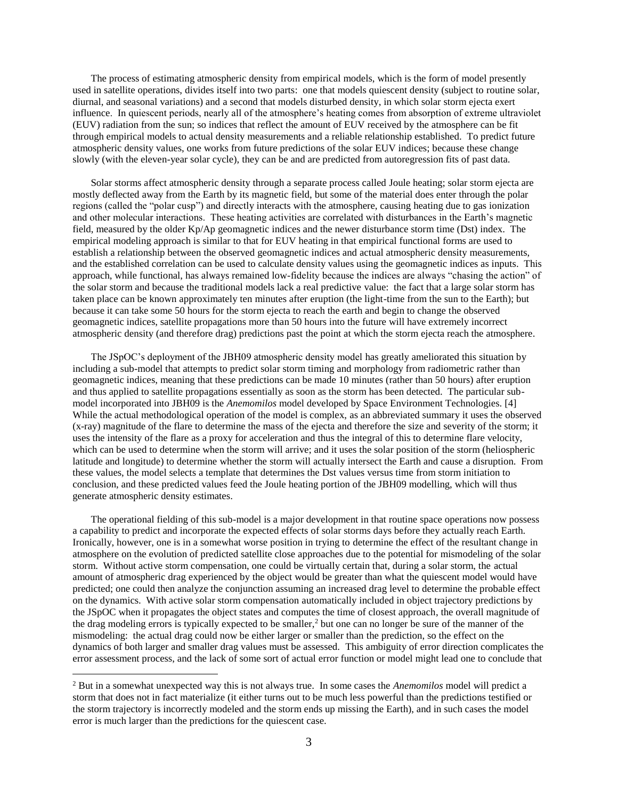The process of estimating atmospheric density from empirical models, which is the form of model presently used in satellite operations, divides itself into two parts: one that models quiescent density (subject to routine solar, diurnal, and seasonal variations) and a second that models disturbed density, in which solar storm ejecta exert influence. In quiescent periods, nearly all of the atmosphere's heating comes from absorption of extreme ultraviolet (EUV) radiation from the sun; so indices that reflect the amount of EUV received by the atmosphere can be fit through empirical models to actual density measurements and a reliable relationship established. To predict future atmospheric density values, one works from future predictions of the solar EUV indices; because these change slowly (with the eleven-year solar cycle), they can be and are predicted from autoregression fits of past data.

Solar storms affect atmospheric density through a separate process called Joule heating; solar storm ejecta are mostly deflected away from the Earth by its magnetic field, but some of the material does enter through the polar regions (called the "polar cusp") and directly interacts with the atmosphere, causing heating due to gas ionization and other molecular interactions. These heating activities are correlated with disturbances in the Earth's magnetic field, measured by the older Kp/Ap geomagnetic indices and the newer disturbance storm time (Dst) index. The empirical modeling approach is similar to that for EUV heating in that empirical functional forms are used to establish a relationship between the observed geomagnetic indices and actual atmospheric density measurements, and the established correlation can be used to calculate density values using the geomagnetic indices as inputs. This approach, while functional, has always remained low-fidelity because the indices are always "chasing the action" of the solar storm and because the traditional models lack a real predictive value: the fact that a large solar storm has taken place can be known approximately ten minutes after eruption (the light-time from the sun to the Earth); but because it can take some 50 hours for the storm ejecta to reach the earth and begin to change the observed geomagnetic indices, satellite propagations more than 50 hours into the future will have extremely incorrect atmospheric density (and therefore drag) predictions past the point at which the storm ejecta reach the atmosphere.

The JSpOC's deployment of the JBH09 atmospheric density model has greatly ameliorated this situation by including a sub-model that attempts to predict solar storm timing and morphology from radiometric rather than geomagnetic indices, meaning that these predictions can be made 10 minutes (rather than 50 hours) after eruption and thus applied to satellite propagations essentially as soon as the storm has been detected. The particular submodel incorporated into JBH09 is the *Anemomilos* model developed by Space Environment Technologies. [4] While the actual methodological operation of the model is complex, as an abbreviated summary it uses the observed (x-ray) magnitude of the flare to determine the mass of the ejecta and therefore the size and severity of the storm; it uses the intensity of the flare as a proxy for acceleration and thus the integral of this to determine flare velocity, which can be used to determine when the storm will arrive; and it uses the solar position of the storm (heliospheric latitude and longitude) to determine whether the storm will actually intersect the Earth and cause a disruption. From these values, the model selects a template that determines the Dst values versus time from storm initiation to conclusion, and these predicted values feed the Joule heating portion of the JBH09 modelling, which will thus generate atmospheric density estimates.

The operational fielding of this sub-model is a major development in that routine space operations now possess a capability to predict and incorporate the expected effects of solar storms days before they actually reach Earth. Ironically, however, one is in a somewhat worse position in trying to determine the effect of the resultant change in atmosphere on the evolution of predicted satellite close approaches due to the potential for mismodeling of the solar storm. Without active storm compensation, one could be virtually certain that, during a solar storm, the actual amount of atmospheric drag experienced by the object would be greater than what the quiescent model would have predicted; one could then analyze the conjunction assuming an increased drag level to determine the probable effect on the dynamics. With active solar storm compensation automatically included in object trajectory predictions by the JSpOC when it propagates the object states and computes the time of closest approach, the overall magnitude of the drag modeling errors is typically expected to be smaller,<sup>2</sup> but one can no longer be sure of the manner of the mismodeling: the actual drag could now be either larger or smaller than the prediction, so the effect on the dynamics of both larger and smaller drag values must be assessed. This ambiguity of error direction complicates the error assessment process, and the lack of some sort of actual error function or model might lead one to conclude that

 $\overline{a}$ 

<sup>2</sup> But in a somewhat unexpected way this is not always true. In some cases the *Anemomilos* model will predict a storm that does not in fact materialize (it either turns out to be much less powerful than the predictions testified or the storm trajectory is incorrectly modeled and the storm ends up missing the Earth), and in such cases the model error is much larger than the predictions for the quiescent case.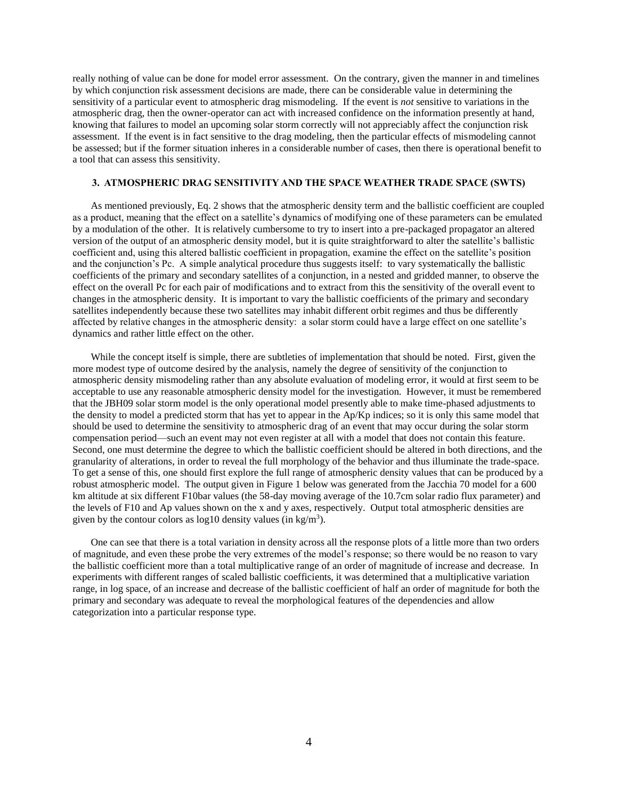really nothing of value can be done for model error assessment. On the contrary, given the manner in and timelines by which conjunction risk assessment decisions are made, there can be considerable value in determining the sensitivity of a particular event to atmospheric drag mismodeling. If the event is *not* sensitive to variations in the atmospheric drag, then the owner-operator can act with increased confidence on the information presently at hand, knowing that failures to model an upcoming solar storm correctly will not appreciably affect the conjunction risk assessment. If the event is in fact sensitive to the drag modeling, then the particular effects of mismodeling cannot be assessed; but if the former situation inheres in a considerable number of cases, then there is operational benefit to a tool that can assess this sensitivity.

### **3. ATMOSPHERIC DRAG SENSITIVITY AND THE SPACE WEATHER TRADE SPACE (SWTS)**

As mentioned previously, Eq. 2 shows that the atmospheric density term and the ballistic coefficient are coupled as a product, meaning that the effect on a satellite's dynamics of modifying one of these parameters can be emulated by a modulation of the other. It is relatively cumbersome to try to insert into a pre-packaged propagator an altered version of the output of an atmospheric density model, but it is quite straightforward to alter the satellite's ballistic coefficient and, using this altered ballistic coefficient in propagation, examine the effect on the satellite's position and the conjunction's Pc. A simple analytical procedure thus suggests itself: to vary systematically the ballistic coefficients of the primary and secondary satellites of a conjunction, in a nested and gridded manner, to observe the effect on the overall Pc for each pair of modifications and to extract from this the sensitivity of the overall event to changes in the atmospheric density. It is important to vary the ballistic coefficients of the primary and secondary satellites independently because these two satellites may inhabit different orbit regimes and thus be differently affected by relative changes in the atmospheric density: a solar storm could have a large effect on one satellite's dynamics and rather little effect on the other.

While the concept itself is simple, there are subtleties of implementation that should be noted. First, given the more modest type of outcome desired by the analysis, namely the degree of sensitivity of the conjunction to atmospheric density mismodeling rather than any absolute evaluation of modeling error, it would at first seem to be acceptable to use any reasonable atmospheric density model for the investigation. However, it must be remembered that the JBH09 solar storm model is the only operational model presently able to make time-phased adjustments to the density to model a predicted storm that has yet to appear in the Ap/Kp indices; so it is only this same model that should be used to determine the sensitivity to atmospheric drag of an event that may occur during the solar storm compensation period—such an event may not even register at all with a model that does not contain this feature. Second, one must determine the degree to which the ballistic coefficient should be altered in both directions, and the granularity of alterations, in order to reveal the full morphology of the behavior and thus illuminate the trade-space. To get a sense of this, one should first explore the full range of atmospheric density values that can be produced by a robust atmospheric model. The output given in Figure 1 below was generated from the Jacchia 70 model for a 600 km altitude at six different F10bar values (the 58-day moving average of the 10.7cm solar radio flux parameter) and the levels of F10 and Ap values shown on the x and y axes, respectively. Output total atmospheric densities are given by the contour colors as  $log 10$  density values (in kg/m<sup>3</sup>).

One can see that there is a total variation in density across all the response plots of a little more than two orders of magnitude, and even these probe the very extremes of the model's response; so there would be no reason to vary the ballistic coefficient more than a total multiplicative range of an order of magnitude of increase and decrease. In experiments with different ranges of scaled ballistic coefficients, it was determined that a multiplicative variation range, in log space, of an increase and decrease of the ballistic coefficient of half an order of magnitude for both the primary and secondary was adequate to reveal the morphological features of the dependencies and allow categorization into a particular response type.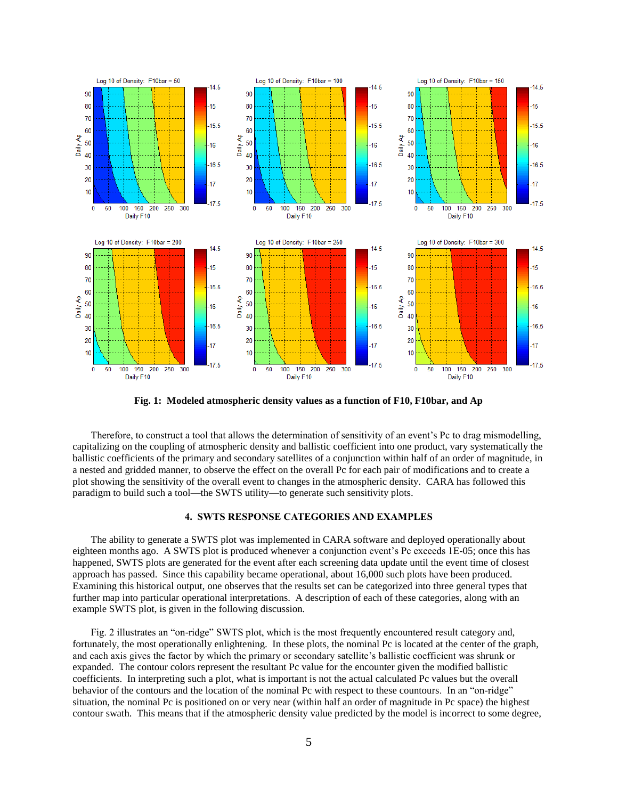

**Fig. 1: Modeled atmospheric density values as a function of F10, F10bar, and Ap**

Therefore, to construct a tool that allows the determination of sensitivity of an event's Pc to drag mismodelling, capitalizing on the coupling of atmospheric density and ballistic coefficient into one product, vary systematically the ballistic coefficients of the primary and secondary satellites of a conjunction within half of an order of magnitude, in a nested and gridded manner, to observe the effect on the overall Pc for each pair of modifications and to create a plot showing the sensitivity of the overall event to changes in the atmospheric density. CARA has followed this paradigm to build such a tool—the SWTS utility—to generate such sensitivity plots.

#### **4. SWTS RESPONSE CATEGORIES AND EXAMPLES**

The ability to generate a SWTS plot was implemented in CARA software and deployed operationally about eighteen months ago. A SWTS plot is produced whenever a conjunction event's Pc exceeds 1E-05; once this has happened, SWTS plots are generated for the event after each screening data update until the event time of closest approach has passed. Since this capability became operational, about 16,000 such plots have been produced. Examining this historical output, one observes that the results set can be categorized into three general types that further map into particular operational interpretations. A description of each of these categories, along with an example SWTS plot, is given in the following discussion.

Fig. 2 illustrates an "on-ridge" SWTS plot, which is the most frequently encountered result category and, fortunately, the most operationally enlightening. In these plots, the nominal Pc is located at the center of the graph, and each axis gives the factor by which the primary or secondary satellite's ballistic coefficient was shrunk or expanded. The contour colors represent the resultant Pc value for the encounter given the modified ballistic coefficients. In interpreting such a plot, what is important is not the actual calculated Pc values but the overall behavior of the contours and the location of the nominal Pc with respect to these countours. In an "on-ridge" situation, the nominal Pc is positioned on or very near (within half an order of magnitude in Pc space) the highest contour swath. This means that if the atmospheric density value predicted by the model is incorrect to some degree,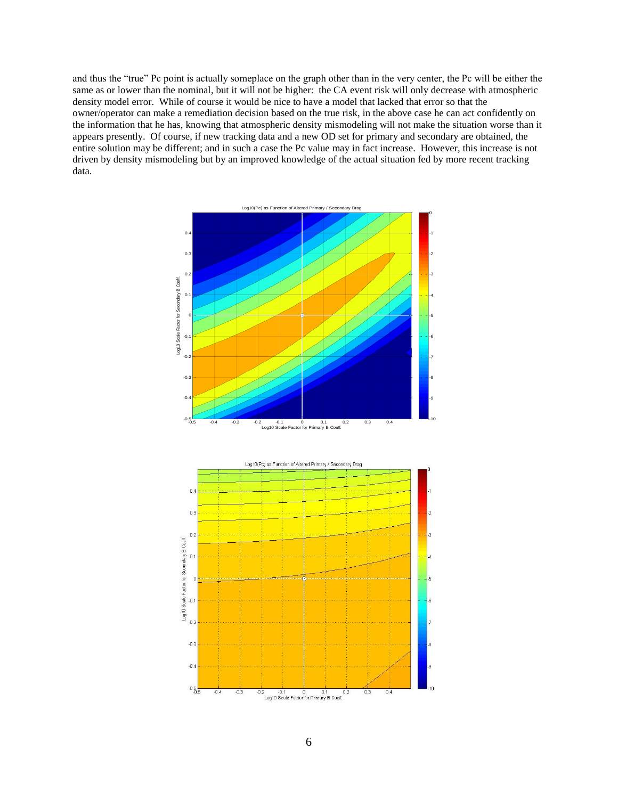and thus the "true" Pc point is actually someplace on the graph other than in the very center, the Pc will be either the same as or lower than the nominal, but it will not be higher: the CA event risk will only decrease with atmospheric density model error. While of course it would be nice to have a model that lacked that error so that the owner/operator can make a remediation decision based on the true risk, in the above case he can act confidently on the information that he has, knowing that atmospheric density mismodeling will not make the situation worse than it appears presently. Of course, if new tracking data and a new OD set for primary and secondary are obtained, the entire solution may be different; and in such a case the Pc value may in fact increase. However, this increase is not driven by density mismodeling but by an improved knowledge of the actual situation fed by more recent tracking data.

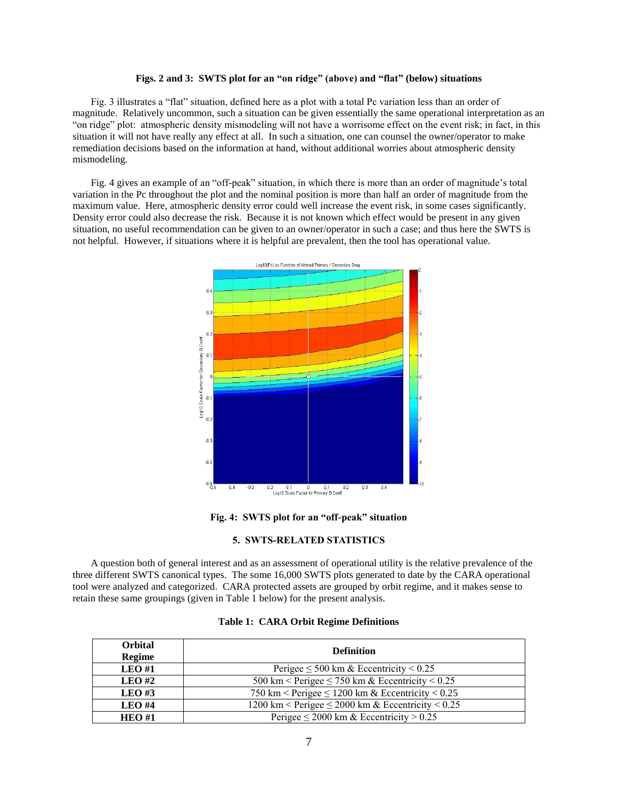## **Figs. 2 and 3: SWTS plot for an "on ridge" (above) and "flat" (below) situations**

Fig. 3 illustrates a "flat" situation, defined here as a plot with a total Pc variation less than an order of magnitude. Relatively uncommon, such a situation can be given essentially the same operational interpretation as an "on ridge" plot: atmospheric density mismodeling will not have a worrisome effect on the event risk; in fact, in this situation it will not have really any effect at all. In such a situation, one can counsel the owner/operator to make remediation decisions based on the information at hand, without additional worries about atmospheric density mismodeling.

Fig. 4 gives an example of an "off-peak" situation, in which there is more than an order of magnitude's total variation in the Pc throughout the plot and the nominal position is more than half an order of magnitude from the maximum value. Here, atmospheric density error could well increase the event risk, in some cases significantly. Density error could also decrease the risk. Because it is not known which effect would be present in any given situation, no useful recommendation can be given to an owner/operator in such a case; and thus here the SWTS is not helpful. However, if situations where it is helpful are prevalent, then the tool has operational value.



**Fig. 4: SWTS plot for an "off-peak" situation**

#### **5. SWTS-RELATED STATISTICS**

A question both of general interest and as an assessment of operational utility is the relative prevalence of the three different SWTS canonical types. The some 16,000 SWTS plots generated to date by the CARA operational tool were analyzed and categorized. CARA protected assets are grouped by orbit regime, and it makes sense to retain these same groupings (given in Table 1 below) for the present analysis.

| <b>Orbital</b><br>Regime | <b>Definition</b>                                      |
|--------------------------|--------------------------------------------------------|
| $LEO$ #1                 | Perigee $\leq 500$ km & Eccentricity $< 0.25$          |
| $LEO$ #2                 | 500 km < Perigee $\leq$ 750 km & Eccentricity < 0.25   |
| LEO#3                    | 750 km < Perigee $\leq 1200$ km & Eccentricity < 0.25  |
| $LEO$ #4                 | 1200 km < Perigee $\leq$ 2000 km & Eccentricity < 0.25 |
| HEO#1                    | Perigee $\leq$ 2000 km & Eccentricity $> 0.25$         |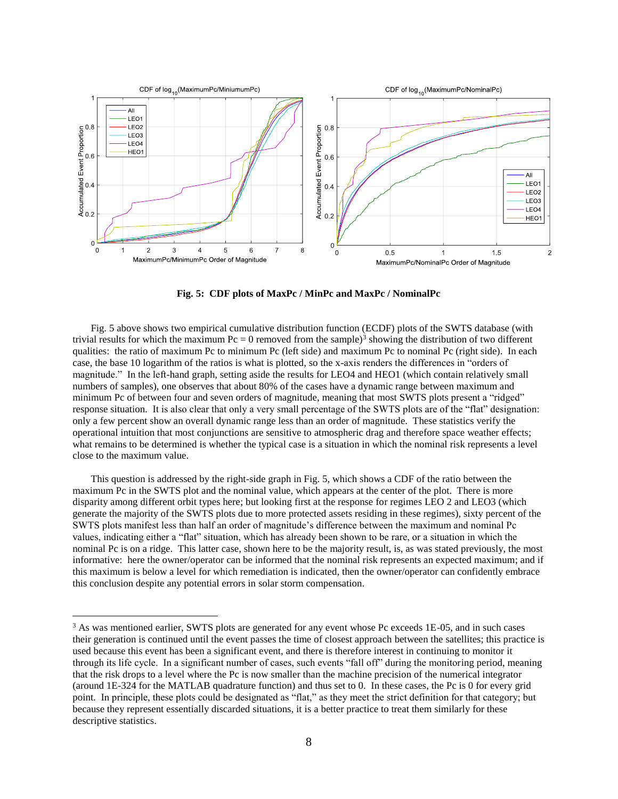

**Fig. 5: CDF plots of MaxPc / MinPc and MaxPc / NominalPc**

Fig. 5 above shows two empirical cumulative distribution function (ECDF) plots of the SWTS database (with trivial results for which the maximum  $Pc = 0$  removed from the sample)<sup>3</sup> showing the distribution of two different qualities: the ratio of maximum Pc to minimum Pc (left side) and maximum Pc to nominal Pc (right side). In each case, the base 10 logarithm of the ratios is what is plotted, so the x-axis renders the differences in "orders of magnitude." In the left-hand graph, setting aside the results for LEO4 and HEO1 (which contain relatively small numbers of samples), one observes that about 80% of the cases have a dynamic range between maximum and minimum Pc of between four and seven orders of magnitude, meaning that most SWTS plots present a "ridged" response situation. It is also clear that only a very small percentage of the SWTS plots are of the "flat" designation: only a few percent show an overall dynamic range less than an order of magnitude. These statistics verify the operational intuition that most conjunctions are sensitive to atmospheric drag and therefore space weather effects; what remains to be determined is whether the typical case is a situation in which the nominal risk represents a level close to the maximum value.

This question is addressed by the right-side graph in Fig. 5, which shows a CDF of the ratio between the maximum Pc in the SWTS plot and the nominal value, which appears at the center of the plot. There is more disparity among different orbit types here; but looking first at the response for regimes LEO 2 and LEO3 (which generate the majority of the SWTS plots due to more protected assets residing in these regimes), sixty percent of the SWTS plots manifest less than half an order of magnitude's difference between the maximum and nominal Pc values, indicating either a "flat" situation, which has already been shown to be rare, or a situation in which the nominal Pc is on a ridge. This latter case, shown here to be the majority result, is, as was stated previously, the most informative: here the owner/operator can be informed that the nominal risk represents an expected maximum; and if this maximum is below a level for which remediation is indicated, then the owner/operator can confidently embrace this conclusion despite any potential errors in solar storm compensation.

 $\overline{a}$ 

<sup>&</sup>lt;sup>3</sup> As was mentioned earlier, SWTS plots are generated for any event whose Pc exceeds 1E-05, and in such cases their generation is continued until the event passes the time of closest approach between the satellites; this practice is used because this event has been a significant event, and there is therefore interest in continuing to monitor it through its life cycle. In a significant number of cases, such events "fall off" during the monitoring period, meaning that the risk drops to a level where the Pc is now smaller than the machine precision of the numerical integrator (around 1E-324 for the MATLAB quadrature function) and thus set to 0. In these cases, the Pc is 0 for every grid point. In principle, these plots could be designated as "flat," as they meet the strict definition for that category; but because they represent essentially discarded situations, it is a better practice to treat them similarly for these descriptive statistics.